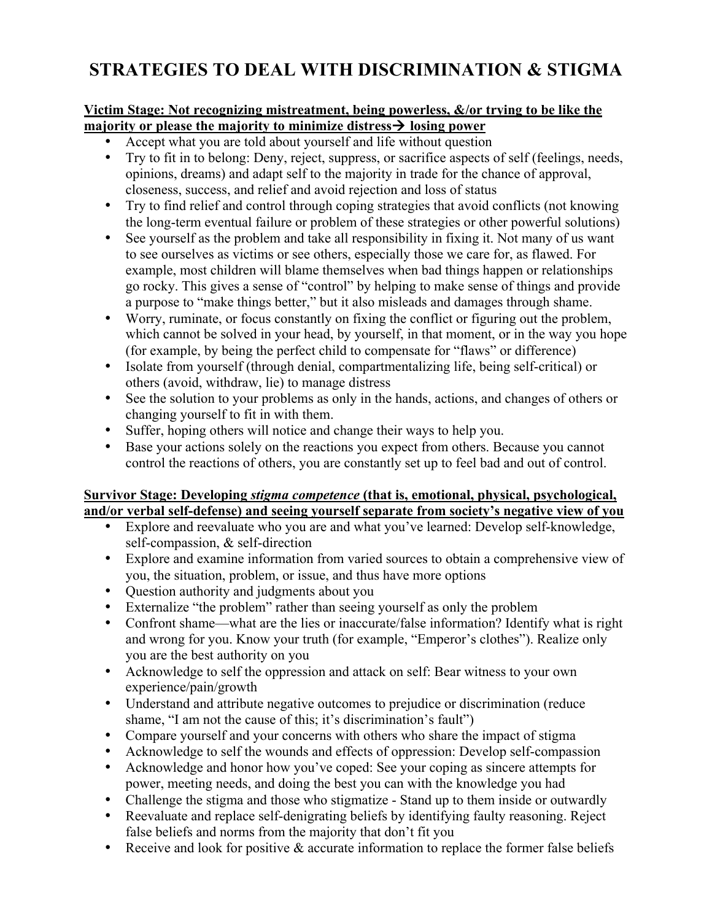## **STRATEGIES TO DEAL WITH DISCRIMINATION & STIGMA**

## **Victim Stage: Not recognizing mistreatment, being powerless, &/or trying to be like the**  majority or please the majority to minimize distress  $\rightarrow$  losing power

- Accept what you are told about yourself and life without question
- Try to fit in to belong: Deny, reject, suppress, or sacrifice aspects of self (feelings, needs, opinions, dreams) and adapt self to the majority in trade for the chance of approval, closeness, success, and relief and avoid rejection and loss of status
- Try to find relief and control through coping strategies that avoid conflicts (not knowing the long-term eventual failure or problem of these strategies or other powerful solutions)
- See yourself as the problem and take all responsibility in fixing it. Not many of us want to see ourselves as victims or see others, especially those we care for, as flawed. For example, most children will blame themselves when bad things happen or relationships go rocky. This gives a sense of "control" by helping to make sense of things and provide a purpose to "make things better," but it also misleads and damages through shame.
- Worry, ruminate, or focus constantly on fixing the conflict or figuring out the problem, which cannot be solved in your head, by yourself, in that moment, or in the way you hope (for example, by being the perfect child to compensate for "flaws" or difference)
- Isolate from yourself (through denial, compartmentalizing life, being self-critical) or others (avoid, withdraw, lie) to manage distress
- See the solution to your problems as only in the hands, actions, and changes of others or changing yourself to fit in with them.
- Suffer, hoping others will notice and change their ways to help you.
- Base your actions solely on the reactions you expect from others. Because you cannot control the reactions of others, you are constantly set up to feel bad and out of control.

## **Survivor Stage: Developing** *stigma competence* **(that is, emotional, physical, psychological, and/or verbal self-defense) and seeing yourself separate from society's negative view of you**

- Explore and reevaluate who you are and what you've learned: Develop self-knowledge, self-compassion, & self-direction
- Explore and examine information from varied sources to obtain a comprehensive view of you, the situation, problem, or issue, and thus have more options
- Question authority and judgments about you
- Externalize "the problem" rather than seeing yourself as only the problem
- Confront shame—what are the lies or inaccurate/false information? Identify what is right and wrong for you. Know your truth (for example, "Emperor's clothes"). Realize only you are the best authority on you
- Acknowledge to self the oppression and attack on self: Bear witness to your own experience/pain/growth
- Understand and attribute negative outcomes to prejudice or discrimination (reduce shame, "I am not the cause of this; it's discrimination's fault")
- Compare yourself and your concerns with others who share the impact of stigma
- Acknowledge to self the wounds and effects of oppression: Develop self-compassion
- Acknowledge and honor how you've coped: See your coping as sincere attempts for power, meeting needs, and doing the best you can with the knowledge you had
- Challenge the stigma and those who stigmatize Stand up to them inside or outwardly
- Reevaluate and replace self-denigrating beliefs by identifying faulty reasoning. Reject false beliefs and norms from the majority that don't fit you
- Receive and look for positive & accurate information to replace the former false beliefs